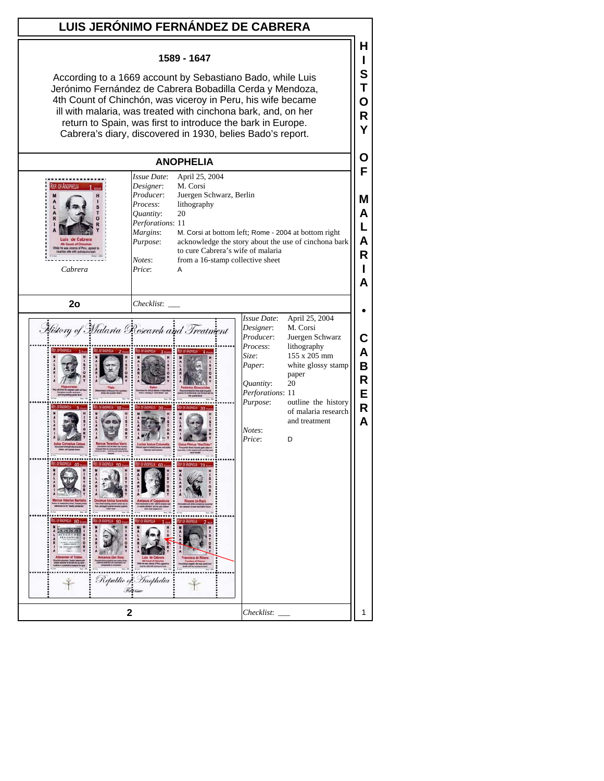